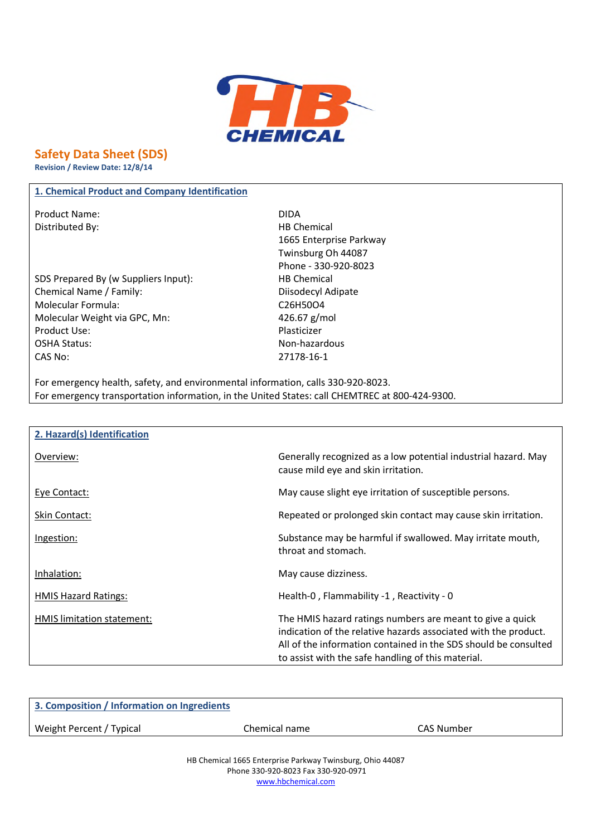

# **Safety Data Sheet (SDS)**

**Revision / Review Date: 12/8/14**

# **1. Chemical Product and Company Identification**

Product Name: DIDA Distributed By: Notice and Security and Security HB Chemical

SDS Prepared By (w Suppliers Input): HB Chemical Chemical Name / Family: Chemical Name / Family: Molecular Formula: C26H50O4 Molecular Weight via GPC, Mn: 426.67 g/mol Product Use: Notice and American product Use: OSHA Status: Non-hazardous CAS No: 27178-16-1

1665 Enterprise Parkway Twinsburg Oh 44087 Phone - 330-920-8023

For emergency health, safety, and environmental information, calls 330-920-8023. For emergency transportation information, in the United States: call CHEMTREC at 800-424-9300.

| 2. Hazard(s) Identification |                                                                                                                                                                                                                                                       |
|-----------------------------|-------------------------------------------------------------------------------------------------------------------------------------------------------------------------------------------------------------------------------------------------------|
| Overview:                   | Generally recognized as a low potential industrial hazard. May<br>cause mild eye and skin irritation.                                                                                                                                                 |
| Eye Contact:                | May cause slight eye irritation of susceptible persons.                                                                                                                                                                                               |
| Skin Contact:               | Repeated or prolonged skin contact may cause skin irritation.                                                                                                                                                                                         |
| Ingestion:                  | Substance may be harmful if swallowed. May irritate mouth,<br>throat and stomach.                                                                                                                                                                     |
| Inhalation:                 | May cause dizziness.                                                                                                                                                                                                                                  |
| <b>HMIS Hazard Ratings:</b> | Health-0, Flammability -1, Reactivity - 0                                                                                                                                                                                                             |
| HMIS limitation statement:  | The HMIS hazard ratings numbers are meant to give a quick<br>indication of the relative hazards associated with the product.<br>All of the information contained in the SDS should be consulted<br>to assist with the safe handling of this material. |

| 3. Composition / Information on Ingredients |               |            |
|---------------------------------------------|---------------|------------|
| Weight Percent / Typical                    | Chemical name | CAS Number |
|                                             |               |            |

HB Chemical 1665 Enterprise Parkway Twinsburg, Ohio 44087 Phone 330-920-8023 Fax 330-920-0971 www.hbchemical.com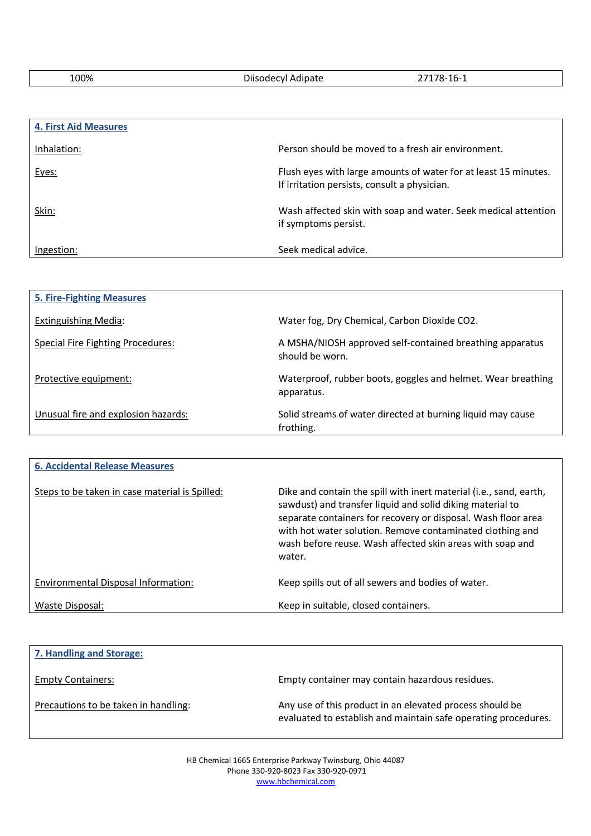100% Diisodecyl Adipate 27178-16-1

| <b>4. First Aid Measures</b> |                                                                                                                 |
|------------------------------|-----------------------------------------------------------------------------------------------------------------|
| Inhalation:                  | Person should be moved to a fresh air environment.                                                              |
| Eyes:                        | Flush eyes with large amounts of water for at least 15 minutes.<br>If irritation persists, consult a physician. |
| Skin:                        | Wash affected skin with soap and water. Seek medical attention<br>if symptoms persist.                          |
| Ingestion:                   | Seek medical advice.                                                                                            |

| <b>5. Fire-Fighting Measures</b>         |                                                                             |
|------------------------------------------|-----------------------------------------------------------------------------|
| Extinguishing Media:                     | Water fog, Dry Chemical, Carbon Dioxide CO2.                                |
| <b>Special Fire Fighting Procedures:</b> | A MSHA/NIOSH approved self-contained breathing apparatus<br>should be worn. |
| Protective equipment:                    | Waterproof, rubber boots, goggles and helmet. Wear breathing<br>apparatus.  |
| Unusual fire and explosion hazards:      | Solid streams of water directed at burning liquid may cause<br>frothing.    |

| <b>6. Accidental Release Measures</b>          |                                                                                                                                                                                                                                                                                                                                      |
|------------------------------------------------|--------------------------------------------------------------------------------------------------------------------------------------------------------------------------------------------------------------------------------------------------------------------------------------------------------------------------------------|
| Steps to be taken in case material is Spilled: | Dike and contain the spill with inert material (i.e., sand, earth,<br>sawdust) and transfer liquid and solid diking material to<br>separate containers for recovery or disposal. Wash floor area<br>with hot water solution. Remove contaminated clothing and<br>wash before reuse. Wash affected skin areas with soap and<br>water. |
| Environmental Disposal Information:            | Keep spills out of all sewers and bodies of water.                                                                                                                                                                                                                                                                                   |
| Waste Disposal:                                | Keep in suitable, closed containers.                                                                                                                                                                                                                                                                                                 |

| 7. Handling and Storage:             |                                                                                                                            |
|--------------------------------------|----------------------------------------------------------------------------------------------------------------------------|
| <b>Empty Containers:</b>             | Empty container may contain hazardous residues.                                                                            |
| Precautions to be taken in handling: | Any use of this product in an elevated process should be<br>evaluated to establish and maintain safe operating procedures. |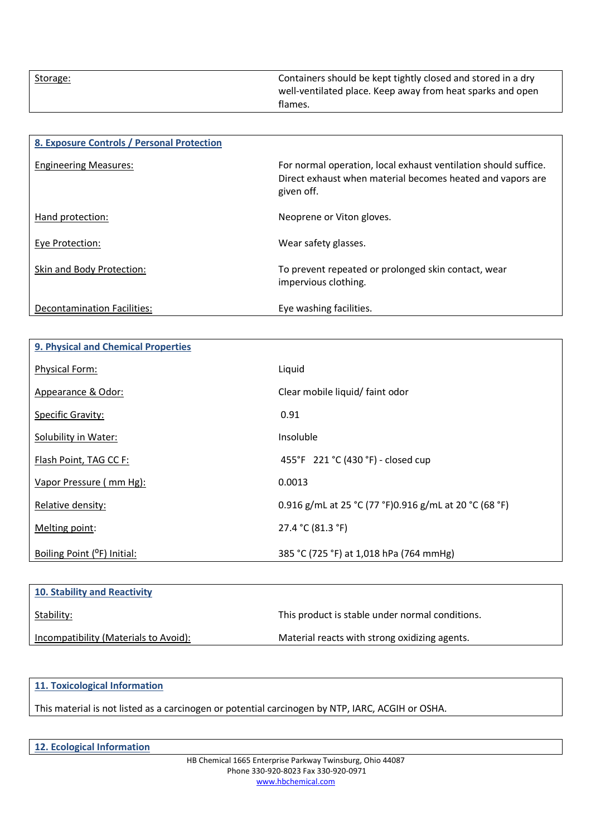| Storage: | Containers should be kept tightly closed and stored in a dry<br>well-ventilated place. Keep away from heat sparks and open |
|----------|----------------------------------------------------------------------------------------------------------------------------|
|          | flames.                                                                                                                    |

| 8. Exposure Controls / Personal Protection |                                                                                                                                             |
|--------------------------------------------|---------------------------------------------------------------------------------------------------------------------------------------------|
| <b>Engineering Measures:</b>               | For normal operation, local exhaust ventilation should suffice.<br>Direct exhaust when material becomes heated and vapors are<br>given off. |
| Hand protection:                           | Neoprene or Viton gloves.                                                                                                                   |
| Eye Protection:                            | Wear safety glasses.                                                                                                                        |
| Skin and Body Protection:                  | To prevent repeated or prolonged skin contact, wear<br>impervious clothing.                                                                 |
| <b>Decontamination Facilities:</b>         | Eye washing facilities.                                                                                                                     |

| <b>9. Physical and Chemical Properties</b> |                                                        |
|--------------------------------------------|--------------------------------------------------------|
| Physical Form:                             | Liquid                                                 |
| Appearance & Odor:                         | Clear mobile liquid/ faint odor                        |
| <b>Specific Gravity:</b>                   | 0.91                                                   |
| Solubility in Water:                       | Insoluble                                              |
| Flash Point, TAG CC F:                     | 455°F 221 °C (430 °F) - closed cup                     |
| Vapor Pressure (mm Hg):                    | 0.0013                                                 |
| Relative density:                          | 0.916 g/mL at 25 °C (77 °F)0.916 g/mL at 20 °C (68 °F) |
| Melting point:                             | 27.4 °C (81.3 °F)                                      |
| Boiling Point (°F) Initial:                | 385 °C (725 °F) at 1,018 hPa (764 mmHg)                |

| 10. Stability and Reactivity          |                                                 |
|---------------------------------------|-------------------------------------------------|
| Stability:                            | This product is stable under normal conditions. |
| Incompatibility (Materials to Avoid): | Material reacts with strong oxidizing agents.   |

# **11. Toxicological Information**

This material is not listed as a carcinogen or potential carcinogen by NTP, IARC, ACGIH or OSHA.

**12. Ecological Information**